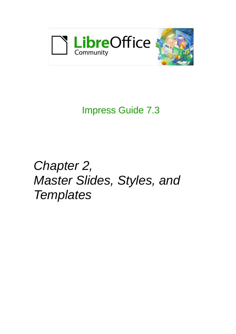

# Impress Guide 7.3

# *Chapter 2, Master Slides, Styles, and Templates*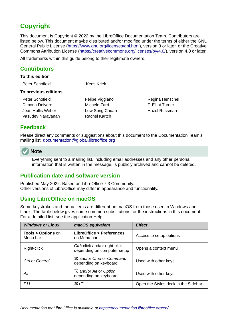# <span id="page-1-4"></span>**Copyright**

This document is Copyright © 2022 by the LibreOffice Documentation Team. Contributors are listed below. This document maybe distributed and/or modified under the terms of either the GNU General Public License (<https://www.gnu.org/licenses/gpl.html>), version 3 or later, or the Creative Commons Attribution License (<https://creativecommons.org/licenses/by/4.0/>), version 4.0 or later.

All trademarks within this guide belong to their legitimate owners.

### <span id="page-1-3"></span>**Contributors**

#### **To this edition**

| Peter Schofield      | Kees Kriek |  |
|----------------------|------------|--|
| To previous editions |            |  |
|                      |            |  |

Peter Schofield Felipe Viggiano Regina Henschel Dimona Delvere Michele Zarri T. Elliot Turner Jean Hollis Weber **Low Song Chuan** Hazel Russman Vasudev Narayanan **Rachel Kartch** 

### <span id="page-1-2"></span>**Feedback**

Please direct any comments or suggestions about this document to the Documentation Team's mailing list: [documentation@global.libreoffice.org](mailto:documentation@global.libreoffice.org)



Everything sent to a mailing list, including email addresses and any other personal information that is written in the message, is publicly archived and cannot be deleted.

### <span id="page-1-1"></span>**Publication date and software version**

Published May 2022. Based on LibreOffice 7.3 Community. Other versions of LibreOffice may differ in appearance and functionality.

### <span id="page-1-0"></span>**Using LibreOffice on macOS**

Some keystrokes and menu items are different on macOS from those used in Windows and Linux. The table below gives some common substitutions for the instructions in this document. For a detailed list, see the application Help.

| <b>Windows or Linux</b>                  | macOS equivalent                                                     | <b>Effect</b>                       |
|------------------------------------------|----------------------------------------------------------------------|-------------------------------------|
| <b>Tools &gt; Options on</b><br>Menu bar | <b>LibreOffice &gt; Preferences</b><br>on Menu bar                   | Access to setup options             |
| Right-click                              | Ctrl+click and/or right-click<br>depending on computer setup         | Opens a context menu                |
| Ctrl or Control                          | <b>36 and/or Cmd or Command,</b><br>depending on keyboard            | Used with other keys                |
| Alt                                      | <b>∖</b> and/or <i>Alt</i> or <i>Option</i><br>depending on keyboard | Used with other keys                |
| F <sub>11</sub>                          | $\mathcal{H}+T$                                                      | Open the Styles deck in the Sidebar |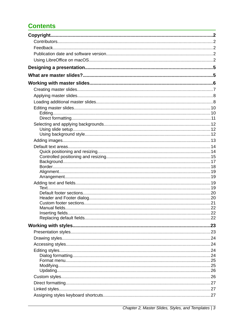# **Contents**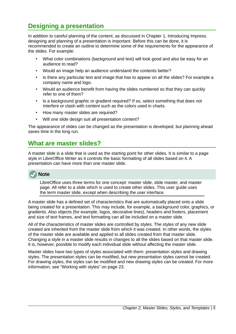# <span id="page-4-1"></span>**Designing a presentation**

In addition to careful planning of the content, as discussed in Chapter 1, Introducing Impress, designing and planning of a presentation is important. Before this can be done, it is recommended to create an outline to determine some of the requirements for the appearance of the slides. For example:

- What color combinations (background and text) will look good and also be easy for an audience to read?
- Would an image help an audience understand the contents better?
- Is there any particular text and image that has to appear on all the slides? For example a company name and logo.
- Would an audience benefit from having the slides numbered so that they can quickly refer to one of them?
- Is a background graphic or gradient required? If so, select something that does not interfere or clash with content such as the colors used in charts.
- How many master slides are required?
- Will one slide design suit all presentation content?

The appearance of slides can be changed as the presentation is developed, but planning ahead saves time in the long run.

# <span id="page-4-0"></span>**What are master slides?**

A master slide is a slide that is used as the starting point for other slides. It is similar to a page style in LibreOffice Writer as it controls the basic formatting of all slides based on it. A presentation can have more than one master slide.

# **Note**

LibreOffice uses three terms for one concept: master slide, slide master, and master page. All refer to a slide which is used to create other slides. This user guide uses the term master slide, except when describing the user interface.

A master slide has a defined set of characteristics that are automatically placed onto a slide being created for a presentation. This may include, for example, a background color, graphics, or gradients. Also objects (for example, logos, decorative lines), headers and footers, placement and size of text frames, and text formatting can all be included on a master slide.

All of the characteristics of master slides are controlled by styles. The styles of any new slide created are inherited from the master slide from which it was created. In other words, the styles of the master slide are available and applied to all slides created from that master slide. Changing a style in a master slide results in changes to all the slides based on that master slide. It is, however, possible to modify each individual slide without affecting the master slide.

Master slides have two types of styles associated with them: presentation styles and drawing styles. The presentation styles can be modified, but new presentation styles cannot be created. For drawing styles, the styles can be modified and new drawing styles can be created. For more information, see "[Working with styles"](#page-22-0) on page [23.](#page-22-0)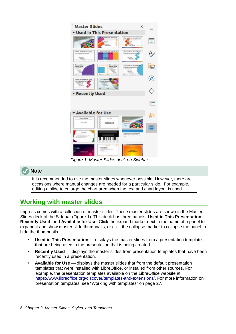

*Figure 1: Master Slides deck on Sidebar*

# **Note**

<span id="page-5-1"></span>It is recommended to use the master slides whenever possible. However, there are occasions where manual changes are needed for a particular slide. For example, editing a slide to enlarge the chart area when the text and chart layout is used.

# <span id="page-5-0"></span>**Working with master slides**

Impress comes with a collection of master slides. These master slides are shown in the Master Slides deck of the Sidebar (Figure [1](#page-5-1)). This deck has three panels: **Used in This Presentation**, **Recently Used**, and **Available for Use**. Click the expand marker next to the name of a panel to expand it and show master slide thumbnails, or click the collapse marker to collapse the panel to hide the thumbnails.

- **Used in This Presentation** displays the master slides from a presentation template that are being used in the presentation that is being created.
- **Recently Used** displays the master slides from presentation templates that have been recently used in a presentation.
- **Available for Use** displays the master slides that from the default presentation templates that were installed with LibreOffice, or installed from other sources. For example, the presentation templates available on the LibreOffice website at [https://www.libreoffice.org/discover/templates-and-extensions/.](https://www.libreoffice.org/discover/templates-and-extensions/) For more information on presentation templates, see ["Working with templates"](#page-26-3) on page [27](#page-26-3).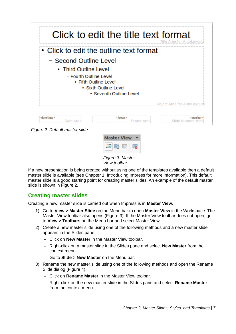|                       |                                                 |                       |                                                  | Click to edit the title text format<br>Title Area for AutoLayout\$ |              |
|-----------------------|-------------------------------------------------|-----------------------|--------------------------------------------------|--------------------------------------------------------------------|--------------|
|                       | • Click to edit the outline text format         |                       |                                                  |                                                                    |              |
|                       | - Second Outline Level                          |                       |                                                  |                                                                    |              |
|                       | • Third Outline Level<br>- Fourth Outline Level | • Fifth Outline Level | • Sixth Outline Level<br>• Seventh Outline Level |                                                                    |              |
|                       |                                                 |                       |                                                  | <b>Obiect Area for AutoLay</b>                                     |              |
| <date time=""></date> |                                                 |                       | <footer></footer>                                |                                                                    | $<$ num beri |
|                       | Figure 2: Default master slide                  |                       |                                                  |                                                                    |              |

| aster<br><b>TPW</b> |  |
|---------------------|--|
|                     |  |
|                     |  |

<span id="page-6-1"></span>*Figure 3: Master View toolbar*

<span id="page-6-2"></span>If a new presentation is being created without using one of the templates available then a default master slide is available (see Chapter 1, Introducing Impress for more information). This default master slide is a good starting point for creating master slides. An example of the default master slide is shown in Figure [2](#page-6-2).

# <span id="page-6-0"></span>**Creating master slides**

Creating a new master slide is carried out when Impress is in **Master View**.

- 1) Go to **View > Master Slide** on the Menu bar to open **Master View** in the Workspace. The Master View toolbar also opens (Figure [3](#page-6-1)). If the Master View toolbar does not open, go to **View > Toolbars** on the Menu bar and select Master View.
- 2) Create a new master slide using one of the following methods and a new master slide appears in the Slides pane:
	- Click on **New Master** in the Master View toolbar.
	- Right-click on a master slide in the Slides pane and select **New Master** from the context menu.
	- Go to **Slide > New Master** on the Menu bar.
- 3) Rename the new master slide using one of the following methods and open the Rename Slide dialog (Figure [4\)](#page-7-2):
	- Click on **Rename Master** in the Master View toolbar.
	- Right-click on the new master slide in the Slides pane and select **Rename Master** from the context menu.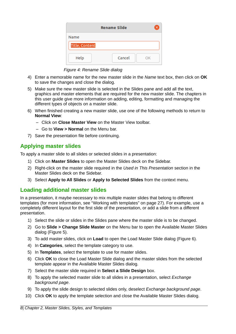|                | <b>Rename Slide</b> | $\times$ |
|----------------|---------------------|----------|
| Name           |                     |          |
| Title, Content |                     |          |
| Help           | Cancel              | OΚ       |

<span id="page-7-2"></span>*Figure 4: Rename Slide dialog*

- 4) Enter a memorable name for the new master slide in the *Name* text box, then click on **OK** to save the changes and close the dialog.
- 5) Make sure the new master slide is selected in the Slides pane and add all the text, graphics and master elements that are required for the new master slide. The chapters in this user guide give more information on adding, editing, formatting and managing the different types of objects on a master slide.
- 6) When finished creating a new master slide, use one of the following methods to return to **Normal View**:
	- Click on **Close Master View** on the Master View toolbar.
	- Go to **View > Normal** on the Menu bar.
- 7) Save the presentation file before continuing.

### <span id="page-7-1"></span>**Applying master slides**

To apply a master slide to all slides or selected slides in a presentation:

- 1) Click on **Master Slides** to open the Master Slides deck on the Sidebar.
- 2) Right-click on the master slide required in the *Used in This Presentation* section in the Master Slides deck on the Sidebar.
- 3) Select **Apply to All Slides** or **Apply to Selected Slides** from the context menu.

# <span id="page-7-0"></span>**Loading additional master slides**

In a presentation, it maybe necessary to mix multiple master slides that belong to different templates (for more information, see ["Working with templates](#page-26-3)" on page [27\)](#page-26-3). For example, use a completely different layout for the first slide of the presentation, or add a slide from a different presentation.

- 1) Select the slide or slides in the Slides pane where the master slide is to be changed.
- 2) Go to **Slide > Change Slide Master** on the Menu bar to open the Available Master Slides dialog (Figure [5](#page-8-1)).
- 3) To add master slides, click on **Load** to open the Load Master Slide dialog (Figure [6](#page-8-0)).
- 4) In **Categories**, select the template category to use.
- 5) In **Templates**, select the template to use for master slides.
- 6) Click **OK** to close the Load Master Slide dialog and the master slides from the selected template appear in the Available Master Slides dialog.
- 7) Select the master slide required in **Select a Slide Design** box.
- 8) To apply the selected master slide to all slides in a presentation, select *Exchange background page*.
- 9) To apply the slide design to selected slides only, deselect *Exchange background page*.
- 10) Click **OK** to apply the template selection and close the Available Master Slides dialog.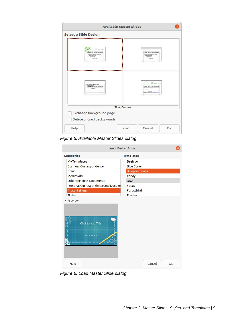| Select a Slide Design                                                                                                            |                       |                                                                                                                                                          |
|----------------------------------------------------------------------------------------------------------------------------------|-----------------------|----------------------------------------------------------------------------------------------------------------------------------------------------------|
| Cilida to ratit the title tract format<br>- Click to rold the sulper test former<br><b>Reared Golerizon!</b><br>• The Called and | LibreOffice           | Click to salt the title text format.<br>- Chili to roll the calling level homes<br>Desert Substant<br>- Thollaboland                                     |
| . Click to roll the subset and homes<br>Charles and the title text format<br><b>IN THE ASSOCIATES</b><br><b>CONTRACTOR</b>       |                       | LibreOffice<br>Click to sellt the title text format<br>. This is rule the saline test format<br>Search Galleriand<br>The company of<br><b>SONTOTACOR</b> |
|                                                                                                                                  | <b>Title, Content</b> |                                                                                                                                                          |
| Exchange background page                                                                                                         |                       |                                                                                                                                                          |
| Delete unused backgrounds                                                                                                        |                       |                                                                                                                                                          |

<span id="page-8-1"></span>*Figure 5: Available Master Slides dialog*

| <b>Load Master Slide</b>                |                        |
|-----------------------------------------|------------------------|
| Categories                              | <b>Templates</b>       |
| My Templates                            | <b>Beehive</b>         |
| <b>Business Correspondence</b>          | <b>Blue Curve</b>      |
| draw                                    | <b>Blueprint Plans</b> |
| MediaWiki                               | Candy                  |
| <b>Other Business Documents</b>         | <b>DNA</b>             |
| Personal Correspondence and Docum       | <b>Focus</b>           |
| Presentations                           | Forestbird             |
| Styles                                  | <b>Freshes</b>         |
| Click to add Title<br>Click to add Text |                        |
|                                         |                        |

<span id="page-8-0"></span>*Figure 6: Load Master Slide dialog*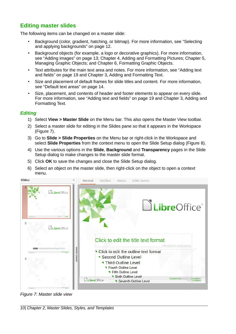# <span id="page-9-1"></span>**Editing master slides**

The following items can be changed on a master slide:

- Background (color, gradient, hatching, or bitmap). For more information, see ["Selecting](#page-11-2)  [and applying backgrounds"](#page-11-2) on page [12.](#page-11-2)
- Background objects (for example, a logo or decorative graphics). For more information, see "[Adding images"](#page-12-0) on page [13](#page-12-0); Chapter 4, Adding and Formatting Pictures; Chapter 5, Managing Graphic Objects; and Chapter 6, Formatting Graphic Objects.
- Text attributes for the main text area and notes. For more information, see ["Adding text](#page-18-1)  [and fields"](#page-18-1) on page [19](#page-18-1) and Chapter 3, Adding and Formatting Text.
- Size and placement of default frames for slide titles and content. For more information, see "[Default text areas](#page-13-1)" on page [14](#page-13-1).
- Size, placement, and contents of header and footer elements to appear on every slide. For more information, see ["Adding text and fields](#page-18-1)" on page [19](#page-18-1) and Chapter 3, Adding and Formatting Text.

#### <span id="page-9-0"></span>*Editing*

- 1) Select **View > Master Slide** on the Menu bar. This also opens the Master View toolbar.
- 2) Select a master slide for editing in the Slides pane so that it appears in the Workspace (Figure [7](#page-9-2)).
- 3) Go to **Slide > Slide Properties** on the Menu bar or right-click in the Workspace and select **Slide Properties** from the context menu to open the Slide Setup dialog (Figure [8\)](#page-10-1).
- 4) Use the various options in the **Slide**, **Background** and **Transparency** pages in the Slide Setup dialog to make changes to the master slide format.
- 5) Click **OK** to save the changes and close the Slide Setup dialog.
- 6) Select an object on the master slide, then right-click on the object to open a context menu.



*Figure 7: Master slide view*

<span id="page-9-2"></span>*10| Chapter 2, Master Slides, Styles, and Templates*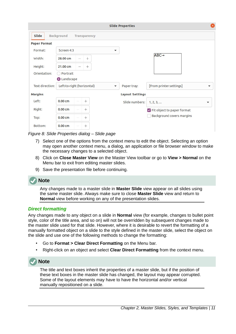|                     |                            |                                 |              |                          | <b>Slide Properties</b> | ×                                                   |
|---------------------|----------------------------|---------------------------------|--------------|--------------------------|-------------------------|-----------------------------------------------------|
| Slide               | Background                 |                                 | Transparency |                          |                         |                                                     |
| <b>Paper Format</b> |                            |                                 |              |                          |                         |                                                     |
| Format:             | Screen 4:3                 |                                 |              | $\overline{\phantom{a}}$ |                         |                                                     |
| Width:              | 28,00 cm                   | $\overbrace{\qquad \qquad }^{}$ | $^{+}$       |                          |                         | $ABC \rightarrow$                                   |
| Height:             | 21.00 cm                   | $\overline{\phantom{a}}$        | $+$          |                          |                         |                                                     |
| Orientation:        | Portrait                   |                                 |              |                          |                         |                                                     |
|                     | Landscape                  |                                 |              |                          |                         |                                                     |
| Text direction:     | Left-to-right (horizontal) |                                 |              | $\blacktriangledown$     | Paper tray:             | [From printer settings]<br>$\overline{\phantom{a}}$ |
| <b>Margins</b>      |                            |                                 |              |                          | <b>Layout Settings</b>  |                                                     |
| Left:               | 0.00cm                     |                                 | $^{+}$       |                          | Slide numbers:          | 1, 2, 3,<br>▼                                       |
| Right:              | $0.00 \text{ cm}$          |                                 | $+$          |                          |                         | I Fit object to paper format                        |
| Top:                | 0.00cm                     |                                 | $^{+}$       |                          |                         | Background covers margins                           |
| Bottom:             | 0.00cm                     |                                 | $^{+}$       |                          |                         |                                                     |

*Figure 8: Slide Properties dialog – Slide page*

- <span id="page-10-1"></span>7) Select one of the options from the context menu to edit the object. Selecting an option may open another context menu, a dialog, an application or file browser window to make the necessary changes to a selected object.
- 8) Click on **Close Master View** on the Master View toolbar or go to **View > Normal** on the Menu bar to exit from editing master slides.
- 9) Save the presentation file before continuing.



Any changes made to a master slide in **Master Slide** view appear on all slides using the same master slide. Always make sure to close **Master Slide** view and return to **Normal** view before working on any of the presentation slides.

#### <span id="page-10-0"></span>*Direct formatting*

Any changes made to any object on a slide in **Normal** view (for example, changes to bullet point style, color of the title area, and so on) will not be overridden by subsequent changes made to the master slide used for that slide. However, where it is desirable to revert the formatting of a manually formatted object on a slide to the style defined in the master slide, select the object on the slide and use one of the following methods to change the formatting:

- Go to **Format > Clear Direct Formatting** on the Menu bar.
- Right-click on an object and select **Clear Direct Formatting** from the context menu.



**Note**

The title and text boxes inherit the properties of a master slide, but if the position of these text boxes in the master slide has changed, the layout may appear corrupted. Some of the layout elements may have to have the horizontal and/or vertical manually repositioned on a slide.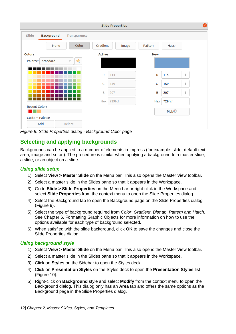|                       |                   |                                |               | <b>Slide Properties</b> |             |        |                          |        |
|-----------------------|-------------------|--------------------------------|---------------|-------------------------|-------------|--------|--------------------------|--------|
| Slide                 | <b>Background</b> | Transparency                   |               |                         |             |        |                          |        |
|                       | None              | Color                          | Gradient      | Image                   | Pattern     | Hatch  |                          |        |
| <b>Colors</b>         |                   |                                | <b>Active</b> |                         | <b>New</b>  |        |                          |        |
| Palette:              | standard          | ЬĻ<br>$\overline{\phantom{a}}$ |               |                         |             |        |                          |        |
|                       |                   |                                | R             | 114                     | $\mathsf R$ | 114    | $\overline{\phantom{m}}$ | $^{+}$ |
|                       |                   |                                | G             | 159                     | G           | 159    | $\overline{\phantom{m}}$ | $^{+}$ |
|                       |                   |                                | B             | 207                     | B           | 207    | $\qquad \qquad -$        | $^{+}$ |
|                       |                   |                                | Hex           | 729fcf                  | Hex         | 729fcf |                          |        |
| <b>Recent Colors</b>  |                   |                                |               |                         |             |        |                          |        |
| <b>Custom Palette</b> | Add               | Delete                         |               |                         |             |        |                          |        |

<span id="page-11-3"></span>*Figure 9: Slide Properties dialog - Background Color page*

# <span id="page-11-2"></span>**Selecting and applying backgrounds**

Backgrounds can be applied to a number of elements in Impress (for example: slide, default text area, image and so on). The procedure is similar when applying a background to a master slide, a slide, or an object on a slide.

#### <span id="page-11-1"></span>*Using slide setup*

- 1) Select **View > Master Slide** on the Menu bar. This also opens the Master View toolbar.
- 2) Select a master slide in the Slides pane so that it appears in the Workspace.
- 3) Go to **Slide > Slide Properties** on the Menu bar or right-click in the Workspace and select **Slide Properties** from the context menu to open the Slide Properties dialog.
- 4) Select the Background tab to open the Background page on the Slide Properties dialog (Figure [9](#page-11-3)).
- 5) Select the type of background required from *Color*, *Gradient*, *Bitmap*, *Pattern* and *Hatch*. See Chapter 6, Formatting Graphic Objects for more information on how to use the options available for each type of background selected.
- 6) When satisfied with the slide background, click **OK** to save the changes and close the Slide Properties dialog.

#### <span id="page-11-0"></span>*Using background style*

- 1) Select **View > Master Slide** on the Menu bar. This also opens the Master View toolbar.
- 2) Select a master slide in the Slides pane so that it appears in the Workspace.
- 3) Click on **Styles** on the Sidebar to open the Styles deck.
- 4) Click on **Presentation Styles** on the Styles deck to open the **Presentation Styles** list (Figure [10](#page-12-1)).
- 5) Right-click on **Background** style and select **Modify** from the context menu to open the Background dialog. This dialog only has an **Area** tab and offers the same options as the Background page in the Slide Properties dialog.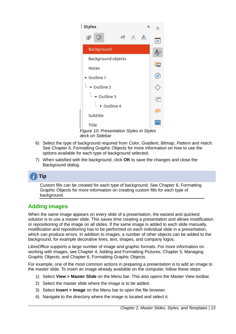

*Figure 10: Presentation Styles in Styles deck on Sidebar*

- <span id="page-12-1"></span>6) Select the type of background required from *Color*, *Gradient*, *Bitmap*, *Pattern* and *Hatch*. See Chapter 6, Formatting Graphic Objects for more information on how to use the options available for each type of background selected.
- 7) When satisfied with the background, click **OK** to save the changes and close the Background dialog.

# **Tip**

Custom fills can be created for each type of background. See Chapter 6, Formatting Graphic Objects for more information on creating custom fills for each type of background.

# <span id="page-12-0"></span>**Adding images**

When the same image appears on every slide of a presentation, the easiest and quickest solution is to use a master slide. This saves time creating a presentation and allows modification or repositioning of the image on all slides. If the same image is added to each slide manually, modification and repositioning has to be performed on each individual slide in a presentation, which can produce errors. In addition to images, a number of other objects can be added to the background, for example decorative lines, text, shapes, and company logos.

LibreOffice supports a large number of image and graphic formats. For more information on working with images, see Chapter 4, Adding and Formatting Pictures; Chapter 5, Managing Graphic Objects; and Chapter 6, Formatting Graphic Objects.

For example, one of the most common actions in preparing a presentation is to add an image to the master slide. To insert an image already available on the computer, follow these steps:

- 1) Select **View > Master Slide** on the Menu bar. This also opens the Master View toolbar.
- 2) Select the master slide where the image is to be added.
- 3) Select **Insert > Image** on the Menu bar to open the file browser.
- 4) Navigate to the directory where the image is located and select it.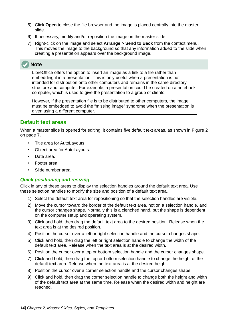- 5) Click **Open** to close the file browser and the image is placed centrally into the master slide.
- 6) If necessary, modify and/or reposition the image on the master slide.
- 7) Right-click on the image and select **Arrange > Send to Back** from the context menu. This moves the image to the background so that any information added to the slide when creating a presentation appears over the background image.

# **Note**

LibreOffice offers the option to insert an image as a link to a file rather than embedding it in a presentation. This is only useful when a presentation is not intended for distribution onto other computers and remains in the same directory structure and computer. For example, a presentation could be created on a notebook computer, which is used to give the presentation to a group of clients.

However, if the presentation file is to be distributed to other computers, the image must be embedded to avoid the "missing image" syndrome when the presentation is given using a different computer.

### <span id="page-13-1"></span>**Default text areas**

When a master slide is opened for editing, it contains five default text areas, as shown in Figure [2](#page-6-2) on page [7](#page-6-2).

- Title area for AutoLayouts.
- Object area for AutoLayouts.
- Date area.
- Footer area.
- Slide number area.

#### <span id="page-13-0"></span>*Quick positioning and resizing*

Click in any of these areas to display the selection handles around the default text area. Use these selection handles to modify the size and position of a default text area.

- 1) Select the default text area for repositioning so that the selection handles are visible.
- 2) Move the cursor toward the border of the default text area, not on a selection handle, and the cursor changes shape. Normally this is a clenched hand, but the shape is dependent on the computer setup and operating system.
- 3) Click and hold, then drag the default text area to the desired position. Release when the text area is at the desired position.
- 4) Position the cursor over a left or right selection handle and the cursor changes shape.
- 5) Click and hold, then drag the left or right selection handle to change the width of the default text area. Release when the text area is at the desired width.
- 6) Position the cursor over a top or bottom selection handle and the cursor changes shape.
- 7) Click and hold, then drag the top or bottom selection handle to change the height of the default text area. Release when the text area is at the desired height.
- 8) Position the cursor over a corner selection handle and the cursor changes shape.
- 9) Click and hold, then drag the corner selection handle to change both the height and width of the default text area at the same time. Release when the desired width and height are reached.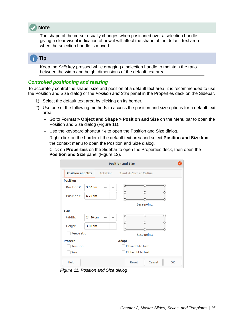

The shape of the cursor usually changes when positioned over a selection handle giving a clear visual indication of how it will affect the shape of the default text area when the selection handle is moved.

| l Ip |
|------|
|      |
|      |

Keep the *Shift* key pressed while dragging a selection handle to maintain the ratio between the width and height dimensions of the default text area.

#### <span id="page-14-0"></span>*Controlled positioning and resizing*

To accurately control the shape, size and position of a default text area, it is recommended to use the Position and Size dialog or the *Position and Size* panel in the Properties deck on the Sidebar.

- 1) Select the default text area by clicking on its border.
- 2) Use one of the following methods to access the position and size options for a default text area:
	- Go to **Format > Object and Shape > Position and Size** on the Menu bar to open the Position and Size dialog (Figure [11\)](#page-14-1).
	- Use the keyboard shortcut *F4* to open the Position and Size dialog.
	- Right-click on the border of the default text area and select **Position and Size** from the context menu to open the Position and Size dialog.
	- Click on **Properties** on the Sidebar to open the Properties deck, then open the **Position and Size** panel (Figure [12](#page-15-0)).

|                          |                   |          | <b>Position and Size</b>         |
|--------------------------|-------------------|----------|----------------------------------|
| <b>Position and Size</b> |                   | Rotation | <b>Slant &amp; Corner Radius</b> |
| <b>Position</b>          |                   |          |                                  |
| Position X:              | 3.50 cm           | $^{+}$   |                                  |
| Position Y:              | 6.70 cm           | $^{+}$   |                                  |
|                          |                   |          | <b>Base point:</b>               |
| <b>Size</b>              |                   |          |                                  |
| Width:                   | 21.50 cm          | $^{+}$   |                                  |
| Height:                  | $3.00 \text{ cm}$ | $^{+}$   |                                  |
| Keep ratio               |                   |          | Base point:                      |
| <b>Protect</b>           |                   |          | <b>Adapt</b>                     |
| Position                 |                   |          | Fit width to text                |
| <b>Size</b>              |                   |          | Fit height to text               |
| Help                     |                   |          | Cancel<br>Reset<br>OK            |

<span id="page-14-1"></span>*Figure 11: Position and Size dialog*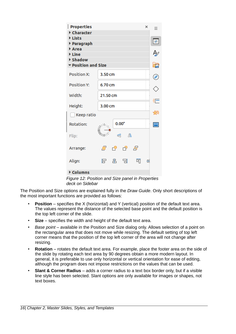| <b>Properties</b><br>Character    |          |              |            |   | $\times$ | Ξ                |
|-----------------------------------|----------|--------------|------------|---|----------|------------------|
| <b>▶ Lists</b><br>▶ Paragraph     |          |              |            |   |          | ∣≠               |
| Area<br><b>▶ Line</b><br>▶ Shadow |          |              |            |   |          | ₽                |
| ▼ Position and Size               |          |              |            |   |          | 叼                |
| <b>Position X:</b>                | 3.50 cm  |              |            |   |          | $\bm{\vartheta}$ |
| <b>Position Y:</b>                | 6.70 cm  |              |            |   |          |                  |
| Width:                            | 21.50 cm |              |            |   |          | €Γ               |
| Height:                           | 3.00 cm  |              |            |   |          |                  |
| Keep ratio                        |          |              |            |   |          | 録                |
| <b>Rotation:</b>                  | Alby     | $0.00^\circ$ |            |   |          | 目                |
| Flip:                             |          | €            | ⚠          |   |          |                  |
| Arrange:                          | Ō        | г9 —         | <b>년</b> 명 |   |          |                  |
| Align:                            | 日        | 串            | 日          | 呵 | 묘        |                  |
| Columns                           |          |              |            |   |          |                  |

<span id="page-15-0"></span>*Figure 12: Position and Size panel in Properties deck on Sidebar*

The Position and Size options are explained fully in the *Draw Guide*. Only short descriptions of the most important functions are provided as follows:

- **Position** specifies the X (horizontal) and Y (vertical) position of the default text area. The values represent the distance of the selected base point and the default position is the top left corner of the slide.
- **Size** specifies the width and height of the default text area.
- *Base point* available in the Position and Size dialog only. Allows selection of a point on the rectangular area that does not move while resizing. The default setting of top left corner means that the position of the top left corner of the area will not change after resizing.
- **Rotation** rotates the default text area. For example, place the footer area on the side of the slide by rotating each text area by 90 degrees obtain a more modern layout. In general, it is preferable to use only horizontal or vertical orientation for ease of editing, although the program does not impose restrictions on the values that can be used.
- **Slant & Corner Radius** adds a corner radius to a text box border only, but if a visible line style has been selected. Slant options are only available for images or shapes, not text boxes.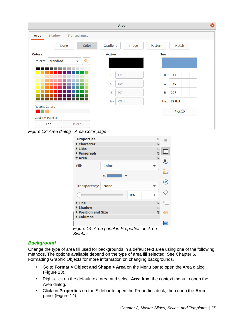|                       |                          |              |               | Area   |              |        |                                    |
|-----------------------|--------------------------|--------------|---------------|--------|--------------|--------|------------------------------------|
| Shadow<br>Area        |                          | Transparency |               |        |              |        |                                    |
|                       | None                     | Color        | Gradient      | Image  | Pattern      | Hatch  |                                    |
| <b>Colors</b>         |                          |              | <b>Active</b> |        | <b>New</b>   |        |                                    |
| standard<br>Palette:  | $\overline{\phantom{a}}$ | ΣŢ           |               |        |              |        |                                    |
|                       |                          |              |               |        |              |        |                                    |
|                       |                          |              | $\mathsf{R}$  | 114    | $\mathsf{R}$ | 114    | $^{+}$<br>$\overline{\phantom{0}}$ |
|                       |                          |              | G             | 159    | G            | 159    | $^{+}$<br>$\overline{\phantom{m}}$ |
|                       |                          |              | B             | 207    | B            | 207    | $^{+}$<br>$\overline{\phantom{0}}$ |
|                       |                          |              | <b>Hex</b>    | 729fcf | Hex          | 729fcf |                                    |
| <b>Recent Colors</b>  |                          |              |               |        |              |        |                                    |
| <b>Custom Palette</b> |                          |              |               |        |              |        |                                    |
| Add                   | Delete                   |              |               |        |              |        |                                    |

<span id="page-16-2"></span>



#### <span id="page-16-1"></span><span id="page-16-0"></span>*Background*

Change the type of area fill used for backgrounds in a default text area using one of the following methods. The options available depend on the type of area fill selected. See Chapter 6, Formatting Graphic Objects for more information on changing backgrounds.

- Go to **Format > Object and Shape > Area** on the Menu bar to open the Area dialog (Figure [13](#page-16-2)).
- Right-click on the default text area and select **Area** from the context menu to open the Area dialog.
- Click on **Properties** on the Sidebar to open the Properties deck, then open the **Area** panel (Figure [14](#page-16-1)).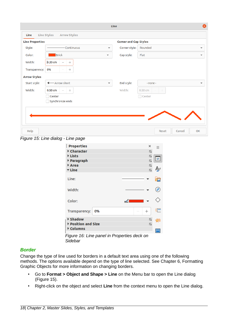| - Continuous<br>Corner style:<br>Rounded<br>Style:<br>$\overline{\phantom{a}}$<br>Flat<br>Color:<br>Brick<br>Cap style:<br>$\overline{\mathbf{v}}$<br>0.20 <sub>cm</sub><br>Width:<br>$^{+}$<br>0%<br>Transparency:<br>$^{+}$<br><b>Arrow Styles</b><br>- Arrow short<br>End style:<br>Start style:<br>$-none -$<br>$\overline{\mathbf{v}}$<br>↞<br>Width:<br>Width:<br>$0.50$ cm<br>$0.50$ cm<br>$^{+}$<br>Center<br>Center<br>Synchronize ends<br>Help<br>Reset<br>Cancel<br>Figure 15: Line dialog - Line page | <b>Line Properties</b> |             | <b>Corner and Cap Styles</b> |                         |   |                          |
|-------------------------------------------------------------------------------------------------------------------------------------------------------------------------------------------------------------------------------------------------------------------------------------------------------------------------------------------------------------------------------------------------------------------------------------------------------------------------------------------------------------------|------------------------|-------------|------------------------------|-------------------------|---|--------------------------|
|                                                                                                                                                                                                                                                                                                                                                                                                                                                                                                                   |                        |             |                              |                         |   | $\overline{\mathbf{v}}$  |
|                                                                                                                                                                                                                                                                                                                                                                                                                                                                                                                   |                        |             |                              |                         |   | $\overline{\mathbf{v}}$  |
|                                                                                                                                                                                                                                                                                                                                                                                                                                                                                                                   |                        |             |                              |                         |   |                          |
|                                                                                                                                                                                                                                                                                                                                                                                                                                                                                                                   |                        |             |                              |                         |   |                          |
|                                                                                                                                                                                                                                                                                                                                                                                                                                                                                                                   |                        |             |                              |                         |   |                          |
|                                                                                                                                                                                                                                                                                                                                                                                                                                                                                                                   |                        |             |                              |                         |   | $\overline{\phantom{a}}$ |
|                                                                                                                                                                                                                                                                                                                                                                                                                                                                                                                   |                        |             |                              |                         |   |                          |
|                                                                                                                                                                                                                                                                                                                                                                                                                                                                                                                   |                        |             |                              |                         |   |                          |
|                                                                                                                                                                                                                                                                                                                                                                                                                                                                                                                   |                        |             |                              |                         |   |                          |
|                                                                                                                                                                                                                                                                                                                                                                                                                                                                                                                   |                        |             |                              |                         |   |                          |
|                                                                                                                                                                                                                                                                                                                                                                                                                                                                                                                   |                        |             |                              |                         |   |                          |
|                                                                                                                                                                                                                                                                                                                                                                                                                                                                                                                   |                        |             |                              |                         |   |                          |
|                                                                                                                                                                                                                                                                                                                                                                                                                                                                                                                   |                        |             |                              |                         |   | OK                       |
|                                                                                                                                                                                                                                                                                                                                                                                                                                                                                                                   |                        |             |                              |                         |   |                          |
| <b>Properties</b>                                                                                                                                                                                                                                                                                                                                                                                                                                                                                                 |                        | ▶ Character |                              | $\overline{\mathbf{z}}$ | Ξ |                          |

<span id="page-17-1"></span>

| ▶ Character                   |                                             | 心                       |    |
|-------------------------------|---------------------------------------------|-------------------------|----|
| ▶ Lists                       |                                             | Ŀ                       |    |
| ▶ Paragraph                   |                                             | 心                       | ÷  |
| Area                          |                                             | Ŀ                       |    |
| ▼ Line                        |                                             | $\overline{\mathbf{z}}$ |    |
| Line:                         |                                             |                         | ⋤  |
| Width:                        |                                             |                         | ø  |
| Color:                        |                                             |                         |    |
| Transparency:                 | 0%                                          | $^{+}$                  | 라는 |
| ▶ Shadow<br>Position and Size |                                             | N<br>Г                  |    |
| Columns                       |                                             |                         |    |
|                               | Figure 16: Line panel in Properties deck on |                         |    |

#### <span id="page-17-2"></span>*Sidebar*

#### <span id="page-17-0"></span>*Border*

Change the type of line used for borders in a default text area using one of the following methods. The options available depend on the type of line selected. See Chapter 6, Formatting Graphic Objects for more information on changing borders.

- Go to **Format > Object and Shape > Line** on the Menu bar to open the Line dialog (Figure [15\)](#page-17-1).
- Right-click on the object and select **Line** from the context menu to open the Line dialog.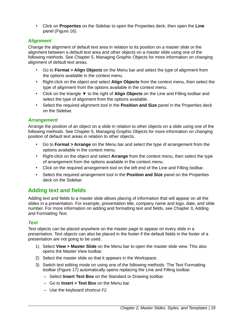• Click on **Properties** on the Sidebar to open the Properties deck, then open the **Line** panel (Figure [16](#page-17-2)).

#### <span id="page-18-3"></span>*Alignment*

Change the alignment of default text area in relation to its position on a master slide or the alignment between a default text area and other objects on a master slide using one of the following methods. See Chapter 5, Managing Graphic Objects for more information on changing alignment of default text areas.

- Go to **Format > Align Objects** on the Menu bar and select the type of alignment from the options available in the context menu.
- Right-click on the object and select **Align Objects** from the context menu, then select the type of alignment from the options available in the context menu.
- Click on the triangle ▼ to the right of **Align Objects** on the Line and Filling toolbar and select the type of alignment from the options available.
- Select the required alignment tool in the **Position and Size** panel in the Properties deck on the Sidebar.

#### <span id="page-18-2"></span>*Arrangement*

Arrange the position of an object on a slide in relation to other objects on a slide using one of the following methods. See Chapter 5, Managing Graphic Objects for more information on changing position of default text areas in relation to other objects.

- Go to **Format > Arrange** on the Menu bar and select the type of arrangement from the options available in the context menu.
- Right-click on the object and select **Arrange** from the context menu, then select the type of arrangement from the options available in the context menu.
- Click on the required arrangement tool on the left end of the Line and Filling toolbar.
- Select the required arrangement tool in the **Position and Size** panel on the Properties deck on the Sidebar.

# <span id="page-18-1"></span>**Adding text and fields**

Adding text and fields to a master slide allows placing of information that will appear on all the slides in a presentation. For example, presentation title, company name and logo, date, and slide number. For more information on adding and formatting text and fields, see Chapter 3, Adding and Formatting Text.

#### <span id="page-18-0"></span>*Text*

Text objects can be placed anywhere on the master page to appear on every slide in a presentation. Text objects can also be placed in the footer if the default fields in the footer of a presentation are not going to be used.

- 1) Select **View > Master Slide** on the Menu bar to open the master slide view. This also opens the Master View toolbar.
- 2) Select the master slide so that it appears in the Workspace.
- 3) Switch text editing mode on using one of the following methods. The Text Formatting toolbar (Figure [17\)](#page-19-2) automatically opens replacing the Line and Filling toolbar.
	- Select **Insert Text Box** on the Standard or Drawing toolbar.
	- Go to **Insert > Text Box** on the Menu bar.
	- Use the keyboard shortcut *F2*.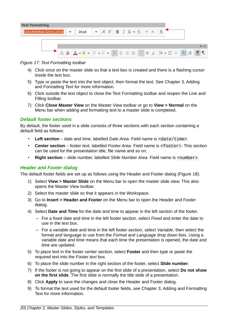| <b>Text Formatting</b><br>Sans; Nimbus Sans L; Arial $\bullet$ 26 pt $\bullet$ $\mathcal{A} \mathcal{A}$ B $\perp U \bullet S$ $x^2$ $x^2$ S |                                                  |  |  |  |  |  |  |  |
|----------------------------------------------------------------------------------------------------------------------------------------------|--------------------------------------------------|--|--|--|--|--|--|--|
|                                                                                                                                              |                                                  |  |  |  |  |  |  |  |
|                                                                                                                                              |                                                  |  |  |  |  |  |  |  |
|                                                                                                                                              | A & A - M - E - E - E = E = F + + E = = A; A A T |  |  |  |  |  |  |  |

*Figure 17: Text Formatting toolbar*

- <span id="page-19-2"></span>4) Click once on the master slide so that a text box is created and there is a flashing cursor inside the text box.
- 5) Type or paste the text into the text object, then format the text. See Chapter 3, Adding and Formatting Text for more information.
- 6) Click outside the text object to close the Text Formatting toolbar and reopen the Line and Filling toolbar.
- 7) Click **Close Master View** on the Master View toolbar or go to **View > Normal** on the Menu bar when adding and formatting text to a master slide is completed.

#### <span id="page-19-1"></span>*Default footer sections*

By default, the footer used in a slide consists of three sections with each section containing a default field as follows:

- **Left section** date and time, labelled *Date Area*. Field name is <date/time>.
- **Center section** footer text, labelled *Footer Area*. Field name is <footer>. This section can be used for the presentation title, file name and so on.
- **Right section** slide number, labelled *Slide Number Area*. Field name is <number>.

#### <span id="page-19-0"></span>*Header and Footer dialog*

The default footer fields are set up as follows using the Header and Footer dialog (Figure [18](#page-20-1)):

- 1) Select **View > Master Slide** on the Menu bar to open the master slide view. This also opens the Master View toolbar.
- 2) Select the master slide so that it appears in the Workspace.
- 3) Go to **Insert > Header and Footer** on the Menu bar to open the Header and Footer dialog.
- 4) Select **Date and Time** for the date and time to appear in the left section of the footer.
	- For a fixed date and time in the left footer section, select *Fixed* and enter the date to use in the text box.
	- For a variable date and time in the left footer section, select *Variable*, then select the format and language to use from the *Format* and *Language* drop down lists. Using a variable date and time means that each time the presentation is opened, the date and time are updated.
- 5) To place text in the footer center section, select **Footer** and then type or paste the required text into the *Footer text* box.
- 6) To place the slide number in the right section of the footer, select **Slide number**.
- 7) If the footer is not going to appear on the first slide of a presentation, select **Do not show on the first slide**. The first slide is normally the title slide of a presentation.
- 8) Click **Apply** to save the changes and close the Header and Footer dialog.
- 9) To format the text used for the default footer fields, see Chapter 3, Adding and Formatting Text for more information.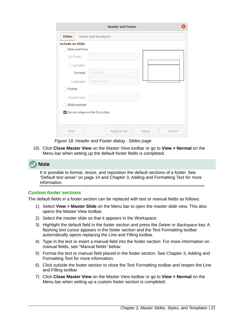|                                          | <b>Header and Footer</b>                 |
|------------------------------------------|------------------------------------------|
| <b>Slides</b>                            | <b>Notes and Handouts</b>                |
| <b>Include on Slide</b><br>Date and time |                                          |
| ⊙ Fixed                                  |                                          |
| $\bigcirc$ Variable                      | --------------------------------         |
| Format:                                  | 02/03/22                                 |
| Language:                                | English (UK)<br>$\overline{\phantom{a}}$ |
| Footer                                   |                                          |
| Footer text:                             |                                          |
| Slide number                             |                                          |
| Oo not show on the first slide           |                                          |
| Help                                     | Apply to All<br>Apply<br>Cancel          |

<span id="page-20-1"></span>*Figure 18: Header and Footer dialog - Slides page*

10) Click **Close Master View** on the Master View toolbar or go to **View > Normal** on the Menu bar when setting up the default footer fields is completed.

# **Note**

It is possible to format, resize, and reposition the default sections of a footer. See ["Default text areas"](#page-13-1) on page [14](#page-13-1) and Chapter 3, Adding and Formatting Text for more information.

#### <span id="page-20-0"></span>*Custom footer sections*

The default fields in a footer section can be replaced with text or manual fields as follows:

- 1) Select **View > Master Slide** on the Menu bar to open the master slide view. This also opens the Master View toolbar.
- 2) Select the master slide so that it appears in the Workspace.
- 3) Highlight the default field in the footer section and press the *Delete* or *Backspace* key. A flashing text cursor appears in the footer section and the Text Formatting toolbar automatically opens replacing the Line and Filling toolbar.
- 4) Type in the text or insert a manual field into the footer section. For more information on manual fields, see ["Manual fields](#page-21-2)" below.
- 5) Format the text or manual field placed in the footer section. See Chapter 3, Adding and Formatting Text for more information.
- 6) Click outside the footer section to close the Text Formatting toolbar and reopen the Line and Filling toolbar.
- 7) Click **Close Master View** on the Master View toolbar or go to **View > Normal** on the Menu bar when setting up a custom footer section is completed.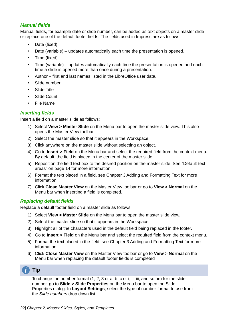#### <span id="page-21-2"></span>*Manual fields*

Manual fields, for example date or slide number, can be added as text objects on a master slide or replace one of the default footer fields. The fields used in Impress are as follows:

- Date (fixed)
- Date (variable) updates automatically each time the presentation is opened.
- Time (fixed)
- Time (variable) updates automatically each time the presentation is opened and each time a slide is opened more than once during a presentation.
- Author first and last names listed in the LibreOffice user data.
- Slide numher
- Slide Title
- Slide Count
- File Name

#### <span id="page-21-1"></span>*Inserting fields*

Insert a field on a master slide as follows:

- 1) Select **View > Master Slide** on the Menu bar to open the master slide view. This also opens the Master View toolbar.
- 2) Select the master slide so that it appears in the Workspace.
- 3) Click anywhere on the master slide without selecting an object.
- 4) Go to **Insert > Field** on the Menu bar and select the required field from the context menu. By default, the field is placed in the center of the master slide.
- 5) Reposition the field text box to the desired position on the master slide. See ["Default text](#page-13-1)  [areas](#page-13-1)" on page [14](#page-13-1) for more information.
- 6) Format the text placed in a field, see Chapter 3 Adding and Formatting Text for more information.
- 7) Click **Close Master View** on the Master View toolbar or go to **View > Normal** on the Menu bar when inserting a field is completed.

#### <span id="page-21-0"></span>*Replacing default fields*

Replace a default footer field on a master slide as follows:

- 1) Select **View > Master Slide** on the Menu bar to open the master slide view.
- 2) Select the master slide so that it appears in the Workspace.
- 3) Highlight all of the characters used in the default field being replaced in the footer.
- 4) Go to **Insert > Field** on the Menu bar and select the required field from the context menu.
- 5) Format the text placed in the field, see Chapter 3 Adding and Formatting Text for more information.
- 6) Click **Close Master View** on the Master View toolbar or go to **View > Normal** on the Menu bar when replacing the default footer fields is completed

# **Tip**

To change the number format (1, 2, 3 or a, b, c or i, ii, iii, and so on) for the slide number, go to **Slide > Slide Properties** on the Menu bar to open the Slide Properties dialog. In **Layout Settings**, select the type of number format to use from the *Slide numbers* drop down list.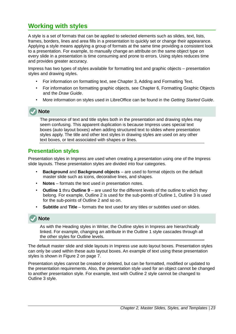# <span id="page-22-0"></span>**Working with styles**

A style is a set of formats that can be applied to selected elements such as slides, text, lists, frames, borders, lines and area fills in a presentation to quickly set or change their appearance. Applying a style means applying a group of formats at the same time providing a consistent look to a presentation. For example, to manually change an attribute on the same object type on every slide in a presentation is time consuming and prone to errors. Using styles reduces time and provides greater accuracy.

Impress has two types of styles available for formatting text and graphic objects – presentation styles and drawing styles.

- For information on formatting text, see Chapter 3, Adding and Formatting Text.
- For information on formatting graphic objects, see Chapter 6, Formatting Graphic Objects and the *Draw Guide*.
- More information on styles used in LibreOffice can be found in the *Getting Started Guide*.



The presence of text and title styles both in the presentation and drawing styles may seem confusing. This apparent duplication is because Impress uses special text boxes (auto layout boxes) when adding structured text to slides where presentation styles apply. The title and other text styles in drawing styles are used on any other text boxes, or text associated with shapes or lines.

### <span id="page-22-1"></span>**Presentation styles**

Presentation styles in Impress are used when creating a presentation using one of the Impress slide layouts. These presentation styles are divided into four categories.

- **Background** and **Background objects** are used to format objects on the default master slide such as icons, decorative lines, and shapes.
- **Notes** formats the text used in presentation notes.
- **Outline 1** thru **Outline 9** are used for the different levels of the outline to which they belong. For example, Outline 2 is used for the sub-points of Outline 1, Outline 3 is used for the sub-points of Outline 2 and so on.
- **Subtitle** and **Title** formats the text used for any titles or subtitles used on slides.



As with the Heading styles in Writer, the Outline styles in Impress are hierarchically linked. For example, changing an attribute in the Outline 1 style cascades through all the other styles for Outline levels.

The default master slide and slide layouts in Impress use auto layout boxes. Presentation styles can only be used within these auto layout boxes. An example of text using these presentation styles is shown in Figure [2](#page-6-2) on page [7.](#page-6-2)

Presentation styles cannot be created or deleted, but can be formatted, modified or updated to the presentation requirements. Also, the presentation style used for an object cannot be changed to another presentation style. For example, text with Outline 2 style cannot be changed to Outline 3 style.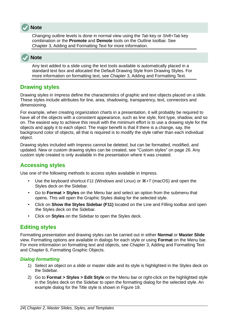

Changing outline levels is done in normal view using the *Tab* key or *Shift+Tab* key combination or the **Promote** and **Demote** tools on the Outline toolbar. See Chapter 3, Adding and Formatting Text for more information.

# **Note**

Any text added to a slide using the text tools available is automatically placed in a standard text box and allocated the Default Drawing Style from Drawing Styles. For more information on formatting text, see Chapter 3, Adding and Formatting Text.

# <span id="page-23-3"></span>**Drawing styles**

Drawing styles in Impress define the characteristics of graphic and text objects placed on a slide. These styles include attributes for line, area, shadowing, transparency, text, connectors and dimensioning.

For example, when creating organization charts in a presentation, it will probably be required to have all of the objects with a consistent appearance, such as line style, font type, shadow, and so on. The easiest way to achieve this result with the minimum effort is to use a drawing style for the objects and apply it to each object. The major benefit is that if there is a change, say, the background color of objects, all that is required is to modify the style rather than each individual object.

Drawing styles included with Impress cannot be deleted, but can be formatted, modified, and updated. New or custom drawing styles can be created, see ["Custom styles"](#page-25-0) on page [26](#page-25-0). Any custom style created is only available in the presentation where it was created.

# <span id="page-23-2"></span>**Accessing styles**

Use one of the following methods to access styles available in Impress.

- Use the keyboard shortcut *F11* (Windows and Linux) or ⌘*+T* (macOS) and open the Styles deck on the Sidebar.
- Go to **Format > Styles** on the Menu bar and select an option from the submenu that opens. This will open the Graphic Styles dialog for the selected style.
- Click on **Show the Styles Sidebar (F11)** located on the Line and Filling toolbar and open the Styles deck on the Sidebar.
- Click on **Styles** on the Sidebar to open the Styles deck.

# <span id="page-23-1"></span>**Editing styles**

Formatting presentation and drawing styles can be carried out in either **Normal** or **Master Slide** view. Formatting options are available in dialogs for each style or using **Format** on the Menu bar. For more information on formatting text and objects, see Chapter 3, Adding and Formatting Text and Chapter 6, Formatting Graphic Objects.

#### <span id="page-23-0"></span>*Dialog formatting*

- 1) Select an object on a slide or master slide and its style is highlighted in the Styles deck on the Sidebar.
- 2) Go to **Format > Styles > Edit Style** on the Menu bar or right-click on the highlighted style in the Styles deck on the Sidebar to open the formatting dialog for the selected style. An example dialog for the Title style is shown in Figure [19](#page-24-2).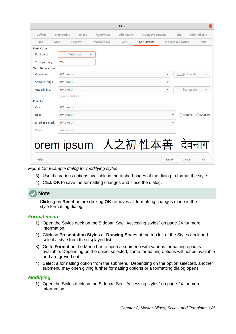|                        |                  |                          |                     | Title     |                         |                          |                              |              |
|------------------------|------------------|--------------------------|---------------------|-----------|-------------------------|--------------------------|------------------------------|--------------|
| <b>Bullets</b>         | Numbering        | Image                    | Customize           | Alignment | <b>Asian Typography</b> |                          | Tabs                         | Highlighting |
| Line                   | Shadow<br>Area   |                          | <b>Transparency</b> | Font      | <b>Font Effects</b>     |                          | <b>Indents &amp; Spacing</b> | <b>Text</b>  |
| <b>Font Color</b>      |                  |                          |                     |           |                         |                          |                              |              |
| Font color:            | Automatic        | $\overline{\phantom{a}}$ |                     |           |                         |                          |                              |              |
| Transparency:          | 0%               | $^{+}$                   |                     |           |                         |                          |                              |              |
| <b>Text Decoration</b> |                  |                          |                     |           |                         |                          |                              |              |
| Overlining:            | (Without)        |                          |                     |           |                         | ▼                        | Automatic                    |              |
| Strikethrough:         | (Without)        |                          |                     |           |                         | $\overline{\phantom{a}}$ |                              |              |
| Underlining:           | (Without)        |                          |                     |           |                         | ▼                        | Automatic                    |              |
|                        | Individual words |                          |                     |           |                         |                          |                              |              |
| <b>Effects</b>         |                  |                          |                     |           |                         |                          |                              |              |
| Case:                  | (Without)        |                          |                     |           |                         | $\overline{\mathbf{v}}$  |                              |              |
| Relief:                | (Without)        |                          |                     |           |                         | $\overline{\phantom{a}}$ | Outline                      | Shadow       |
| Emphasis mark:         | (Without)        |                          |                     |           |                         | $\overline{\phantom{a}}$ |                              |              |
| Position:              | Above text       |                          |                     |           |                         | $\overline{\phantom{a}}$ |                              |              |
|                        |                  |                          |                     |           | orem ipsum 人之初 性本善      |                          | देवनाग                       |              |
| Help                   |                  |                          |                     |           |                         | Reset                    | Cancel                       | OK           |

#### *Figure 19: Example dialog for modifying styles*

- <span id="page-24-2"></span>3) Use the various options available in the tabbed pages of the dialog to format the style.
- 4) Click **OK** to save the formatting changes and close the dialog.

# **Note**

Clicking on **Reset** before clicking **OK** removes all formatting changes made in the style formatting dialog.

#### <span id="page-24-1"></span>*Format menu*

- 1) Open the Styles deck on the Sidebar. See "[Accessing styles](#page-23-2)" on page [24](#page-23-2) for more information.
- 2) Click on **Presentation Styles** or **Drawing Styles** at the top left of the Styles deck and select a style from the displayed list.
- 3) Go to **Format** on the Menu bar to open a submenu with various formatting options available. Depending on the object selected, some formatting options will not be available and are greyed out.
- 4) Select a formatting option from the submenu. Depending on the option selected, another submenu may open giving further formatting options or a formatting dialog opens.

#### <span id="page-24-0"></span>*Modifying*

1) Open the Styles deck on the Sidebar. See "[Accessing styles](#page-23-2)" on page [24](#page-23-2) for more information.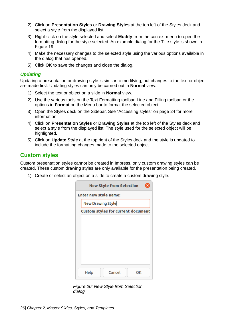- 2) Click on **Presentation Styles** or **Drawing Styles** at the top left of the Styles deck and select a style from the displayed list.
- 3) Right-click on the style selected and select **Modify** from the context menu to open the formatting dialog for the style selected. An example dialog for the Title style is shown in Figure [19](#page-24-2).
- 4) Make the necessary changes to the selected style using the various options available in the dialog that has opened.
- 5) Click **OK** to save the changes and close the dialog.

#### <span id="page-25-1"></span>*Updating*

Updating a presentation or drawing style is similar to modifying, but changes to the text or object are made first. Updating styles can only be carried out in **Normal** view.

- 1) Select the text or object on a slide in **Normal** view.
- 2) Use the various tools on the Text Formatting toolbar, Line and Filling toolbar, or the options in **Format** on the Menu bar to format the selected object.
- 3) Open the Styles deck on the Sidebar. See "[Accessing styles](#page-23-2)" on page [24](#page-23-2) for more information.
- 4) Click on **Presentation Styles** or **Drawing Styles** at the top left of the Styles deck and select a style from the displayed list. The style used for the selected object will be highlighted.
- 5) Click on **Update Style** at the top right of the Styles deck and the style is updated to include the formatting changes made to the selected object.

### <span id="page-25-0"></span>**Custom styles**

Custom presentation styles cannot be created in Impress, only custom drawing styles can be created. These custom drawing styles are only available for the presentation being created.

1) Create or select an object on a slide to create a custom drawing style.

| <b>New Style from Selection</b><br>×      |
|-------------------------------------------|
| Enter new style name:                     |
| New Drawing Style                         |
| <b>Custom styles for current document</b> |
|                                           |
|                                           |
|                                           |
|                                           |
|                                           |
|                                           |
| Help<br>Cancel<br>OK                      |
|                                           |

<span id="page-25-2"></span>*Figure 20: New Style from Selection dialog*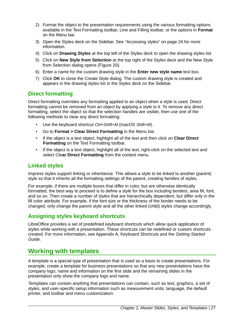- 2) Format the object to the presentation requirements using the various formatting options available in the Text Formatting toolbar, Line and Filling toolbar, or the options in **Format** on the Menu bar.
- 3) Open the Styles deck on the Sidebar. See "[Accessing styles](#page-23-2)" on page [24](#page-23-2) for more information.
- 4) Click on **Drawing Styles** at the top left of the Styles deck to open the drawing styles list.
- 5) Click on **New Style from Selection** at the top right of the Styles deck and the New Style from Selection dialog opens (Figure [20\)](#page-25-2).
- 6) Enter a name for the custom drawing style in the **Enter new style name** text box.
- 7) Click **OK** to close the Create Style dialog. The custom drawing style is created and appears in the drawing styles list in the Styles deck on the Sidebar.

# <span id="page-26-2"></span>**Direct formatting**

Direct formatting overrides any formatting applied to an object when a style is used. Direct formatting cannot be removed from an object by applying a style to it. To remove any direct formatting, select the object so that the selection handles are visible, then use one of the following methods to clear any direct formatting:

- Use the keyboard shortcut *Ctrl+Shift+M* (macOS *Shift+M*).
- Go to **Format > Clear Direct Formatting** in the Menu bar.
- If the object is a text object, highlight all of the text and then click on **Clear Direct Formatting** on the Text Formatting toolbar.
- If the object is a text object, highlight all of the text, right-click on the selected text and select Cle**ar Direct Formatting** from the context menu.

## <span id="page-26-1"></span>**Linked styles**

Impress styles support linking or inheritance. This allows a style to be linked to another (parent) style so that it inherits all the formatting settings of the parent, creating families of styles.

For example, if there are multiple boxes that differ in color, but are otherwise identically formatted, the best way to proceed is to define a style for the box including borders, area fill, font, and so on. Then create a number of styles that are hierarchically dependent, but differ only in the fill color attribute. For example, if the font size or the thickness of the border needs to be changed, only change the parent style and all the other linked (child) styles change accordingly.

# <span id="page-26-0"></span>**Assigning styles keyboard shortcuts**

LibreOffice provides a set of predefined keyboard shortcuts which allow quick application of styles while working with a presentation. These shortcuts can be redefined or custom shortcuts created. For more information, see Appendix A, Keyboard Shortcuts and the *Getting Started Guide*.

# <span id="page-26-3"></span>**Working with templates**

A template is a special type of presentation that is used as a basis to create presentations. For example, create a template for business presentations so that any new presentations have the company logo, name and information on the first slide and the remaining slides in the presentation only show the company logo and name.

Templates can contain anything that presentations can contain, such as text, graphics, a set of styles, and user-specific setup information such as measurement units, language, the default printer, and toolbar and menu customization.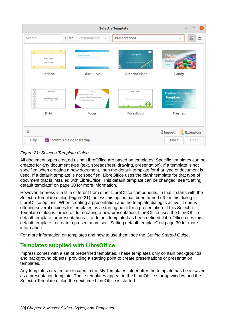|                                                                                                |                             |                                                                                                                                                                                                          | Select a Template                                            | $\Box$                                                                                                                                         |
|------------------------------------------------------------------------------------------------|-----------------------------|----------------------------------------------------------------------------------------------------------------------------------------------------------------------------------------------------------|--------------------------------------------------------------|------------------------------------------------------------------------------------------------------------------------------------------------|
| Search                                                                                         | Filter                      | Presentations                                                                                                                                                                                            | Presentations                                                | 88<br>噩<br>▼                                                                                                                                   |
| Lorem ipsum<br>Dolor Sit Amet                                                                  |                             | Lorem Ipsum<br>- Door at aren't<br>- Consectetur adpiccing elit<br>Verdisclam conseguar mi quic pretium cemper                                                                                           | Lorem Ipsum<br>Delor ed omer, consectatur odgescing ni<br>ý. | <b>CANDY</b><br><b>British Street Ave</b>                                                                                                      |
| Beehive                                                                                        |                             | <b>Blue Curve</b>                                                                                                                                                                                        | <b>Blueprint Plans</b>                                       | Candy                                                                                                                                          |
| <b>ROROTORORO</b><br>Loren Ipum<br>Loren ipsum dolor sit arset,<br>consecueur adipiscing elit. |                             | Lorem Ipsum<br>Loners locuris dollar pit arrivel<br>Consectional adquisiting aim<br>Vindikulum composal mi quici pretium sempan<br>Proin fuctus otcl ac neque venerable<br>· Quis commado dolor poquere. | Lorem Ipsum<br>Dator oil amet, ecrocedatur adjaisoing elit   | <b>Freshes Impress</b><br><b>Template</b><br>Lomen (paum dolor of amer, concent<br>eit, cod da exponed lampor vocalalu<br>dolore magna aliqual |
| <b>DNA</b>                                                                                     |                             | Focus                                                                                                                                                                                                    | Forestbird                                                   | Freshes                                                                                                                                        |
| Ξ                                                                                              |                             |                                                                                                                                                                                                          |                                                              | $5$ Extensions<br>$\frac{1}{2}$ Import                                                                                                         |
| Help                                                                                           | Show this dialog at startup |                                                                                                                                                                                                          |                                                              | Close<br>Open                                                                                                                                  |

#### <span id="page-27-1"></span>*Figure 21: Select a Template dialog*

All document types created using LibreOffice are based on templates. Specific templates can be created for any document type (text, spreadsheet, drawing, presentation). If a template is not specified when creating a new document, then the default template for that type of document is used. If a default template is not specified, LibreOffice uses the blank template for that type of document that is installed with LibreOffice. This default template can be changed, see "[Setting](#page-29-2)  [default template](#page-29-2)" on page [30](#page-29-2) for more information.

However, Impress is a little different from other LibreOffice components, in that it starts with the Select a Template dialog (Figure [21](#page-27-1)), unless this option has been turned off for this dialog in LibreOffice options. When creating a presentation and the template dialog is active, it opens offering several choices for templates as a starting point for a presentation. If this Select a Template dialog is turned off for creating a new presentation, LibreOffice uses the LibreOffice default template for presentations. If a default template has been defined, LibreOffice uses this default template to create a presentation, see ["Setting default template](#page-29-2)" on page [30](#page-29-2) for more information.

For more information on templates and how to use them, see the *Getting Started Guide*.

# <span id="page-27-0"></span>**Templates supplied with LibreOffice**

Impress comes with a set of predefined templates. These templates only contain backgrounds and background objects, providing a starting point to create presentations or presentation templates.

Any templates created are located in the My Templates folder after the template has been saved as a presentation template. These templates appear in the LibreOffice startup window and the Select a Template dialog the next time LibreOffice is started.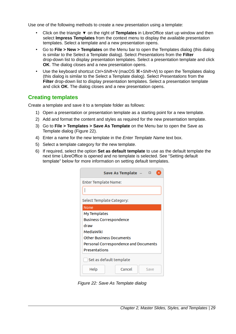Use one of the following methods to create a new presentation using a template:

- Click on the triangle ▼ on the right of **Templates** in LibreOffice start up window and then select **Impress Templates** from the context menu to display the available presentation templates. Select a template and a new presentation opens.
- Go to **File > New > Templates** on the Menu bar to open the Templates dialog (this dialog is similar to the Select a Template dialog). Select *Presentations* from the **Filter** drop-down list to display presentation templates. Select a presentation template and click **OK**. The dialog closes and a new presentation opens.
- Use the keyboard shortcut *Ctrl+Shift+N* (macOS ⌘*+Shift+N*) to open the Templates dialog (this dialog is similar to the Select a Template dialog). Select *Presentations* from the **Filter** drop-down list to display presentation templates. Select a presentation template and click **OK**. The dialog closes and a new presentation opens.

# <span id="page-28-0"></span>**Creating templates**

Create a template and save it to a template folder as follows:

- 1) Open a presentation or presentation template as a starting point for a new template.
- 2) Add and format the content and styles as required for the new presentation template.
- 3) Go to **File > Templates > Save As Template** on the Menu bar to open the Save as Template dialog (Figure [22](#page-28-1)).
- 4) Enter a name for the new template in the *Enter Template Name* text box.
- 5) Select a template category for the new template.
- 6) If required, select the option **Set as default template** to use as the default template the next time LibreOffice is opened and no template is selected. See "[Setting default](#page-29-2)  [template](#page-29-2)" below for more information on setting default templates.

| Save As Template -<br>□<br>×          |
|---------------------------------------|
| <b>Enter Template Name:</b>           |
|                                       |
| Select Template Category:             |
| None                                  |
| My Templates                          |
| <b>Business Correspondence</b>        |
| draw                                  |
| MediaWiki                             |
| <b>Other Business Documents</b>       |
| Personal Correspondence and Documents |
| Presentations                         |
| Set as default template               |
| Cancel<br>Help<br>Save                |

<span id="page-28-1"></span>*Figure 22: Save As Template dialog*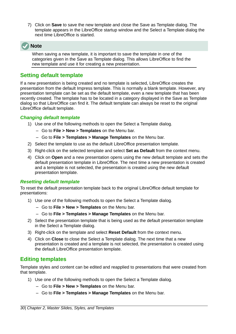7) Click on **Save** to save the new template and close the Save as Template dialog. The template appears in the LibreOffice startup window and the Select a Template dialog the next time LibreOffice is started.

# **Note**

When saving a new template, it is important to save the template in one of the categories given in the Save as Template dialog. This allows LibreOffice to find the new template and use it for creating a new presentation.

# <span id="page-29-2"></span>**Setting default template**

If a new presentation is being created and no template is selected, LibreOffice creates the presentation from the default Impress template. This is normally a blank template. However, any presentation template can be set as the default template, even a new template that has been recently created. The template has to be located in a category displayed in the Save as Template dialog so that LibreOffice can find it. The default template can always be reset to the original LibreOffice default template.

#### <span id="page-29-1"></span>*Changing default template*

- 1) Use one of the following methods to open the Select a Template dialog.
	- Go to **File > New > Templates** on the Menu bar.
	- Go to **File > Templates > Manage Templates** on the Menu bar.
- 2) Select the template to use as the default LibreOffice presentation template.
- 3) Right-click on the selected template and select **Set as Default** from the context menu.
- 4) Click on **Open** and a new presentation opens using the new default template and sets the default presentation template in LibreOffice. The next time a new presentation is created and a template is not selected, the presentation is created using the new default presentation template.

#### <span id="page-29-0"></span>*Resetting default template*

To reset the default presentation template back to the original LibreOffice default template for presentations:

- 1) Use one of the following methods to open the Select a Template dialog.
	- Go to **File > New > Templates** on the Menu bar.
	- Go to **File > Templates > Manage Templates** on the Menu bar.
- 2) Select the presentation template that is being used as the default presentation template in the Select a Template dialog.
- 3) Right-click on the template and select **Reset Default** from the context menu.
- 4) Click on **Close** to close the Select a Template dialog. The next time that a new presentation is created and a template is not selected, the presentation is created using the default LibreOffice presentation template.

# <span id="page-29-3"></span>**Editing templates**

Template styles and content can be edited and reapplied to presentations that were created from that template.

- 1) Use one of the following methods to open the Select a Template dialog.
	- Go to **File > New > Templates** on the Menu bar.
	- Go to **File > Templates > Manage Templates** on the Menu bar.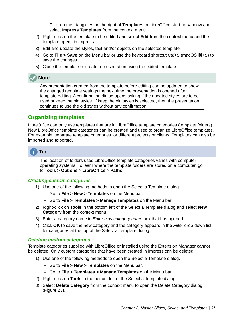- Click on the triangle ▼ on the right of **Templates** in LibreOffice start up window and select **Impress Templates** from the context menu.
- 2) Right-click on the template to be edited and select **Edit** from the context menu and the template opens in Impress.
- 3) Edit and update the styles, text and/or objects on the selected template.
- 4) Go to **File > Save** on the Menu bar or use the keyboard shortcut *Ctrl+S* (macOS ⌘*+S*) to save the changes.
- 5) Close the template or create a presentation using the edited template.

# **Note**

Any presentation created from the template before editing can be updated to show the changed template settings the next time the presentation is opened after template editing. A confirmation dialog opens asking if the updated styles are to be used or keep the old styles. If keep the old styles is selected, then the presentation continues to use the old styles without any confirmation.

### <span id="page-30-2"></span>**Organizing templates**

LibreOffice can only use templates that are in LibreOffice template categories (template folders). New LibreOffice template categories can be created and used to organize LibreOffice templates. For example, separate template categories for different projects or clients. Templates can also be imported and exported.



The location of folders used LibreOffice template categories varies with computer operating systems. To learn where the template folders are stored on a computer, go to **Tools > Options > LibreOffice > Paths**.

#### <span id="page-30-1"></span>*Creating custom categories*

- 1) Use one of the following methods to open the Select a Template dialog.
	- Go to **File > New > Templates** on the Menu bar.
	- Go to **File > Templates > Manage Templates** on the Menu bar.
- 2) Right-click on **Tools** in the bottom left of the Select a Template dialog and select **New Category** from the context menu.
- 3) Enter a category name in *Enter new category name* box that has opened.
- 4) Click **OK** to save the new category and the category appears in the *Filter* drop-down list for categories at the top of the Select a Template dialog.

#### <span id="page-30-0"></span>*Deleting custom categories*

Template categories supplied with LibreOffice or installed using the Extension Manager cannot be deleted. Only custom categories that have been created in Impress can be deleted.

- 1) Use one of the following methods to open the Select a Template dialog.
	- Go to **File > New > Templates** on the Menu bar.
	- Go to **File > Templates > Manage Templates** on the Menu bar.
- 2) Right-click on **Tools** in the bottom left of the Select a Template dialog.
- 3) Select **Delete Category** from the context menu to open the Delete Category dialog (Figure [23](#page-31-1)).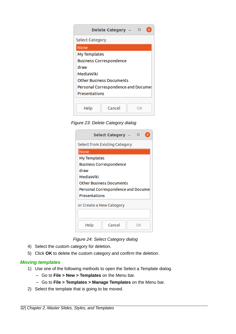| Delete Category -<br>п             |
|------------------------------------|
| Select Category                    |
| None                               |
| My Templates                       |
| <b>Business Correspondence</b>     |
| draw                               |
| MediaWiki                          |
| <b>Other Business Documents</b>    |
| Personal Correspondence and Docume |
| Presentations                      |
|                                    |
| Cancel<br>Help<br>ΩK               |

*Figure 23: Delete Category dialog*

<span id="page-31-1"></span>

| Select Category -<br>×<br>п        |
|------------------------------------|
| Select from Existing Category      |
| None                               |
| My Templates                       |
| <b>Business Correspondence</b>     |
| draw                               |
| MediaWiki                          |
| <b>Other Business Documents</b>    |
| Personal Correspondence and Docume |
| Presentations                      |
| or Create a New Category           |
| Help<br>Cancel<br>OK               |

<span id="page-31-2"></span>*Figure 24: Select Category dialog*

- 4) Select the custom category for deletion.
- 5) Click **OK** to delete the custom category and confirm the deletion.

#### <span id="page-31-0"></span>*Moving templates*

- 1) Use one of the following methods to open the Select a Template dialog.
	- Go to **File > New > Templates** on the Menu bar.
	- Go to **File > Templates > Manage Templates** on the Menu bar.
- 2) Select the template that is going to be moved.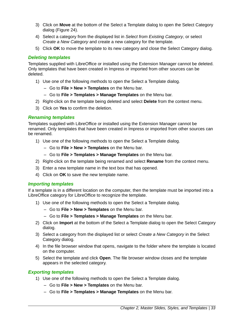- 3) Click on **Move** at the bottom of the Select a Template dialog to open the Select Category dialog (Figure [24](#page-31-2)).
- 4) Select a category from the displayed list in *Select from Existing Category*, or select *Create a New Category* and create a new category for the template.
- 5) Click **OK** to move the template to its new category and close the Select Category dialog.

#### <span id="page-32-2"></span>*Deleting templates*

Templates supplied with LibreOffice or installed using the Extension Manager cannot be deleted. Only templates that have been created in Impress or imported from other sources can be deleted.

- 1) Use one of the following methods to open the Select a Template dialog.
	- Go to **File > New > Templates** on the Menu bar.
	- Go to **File > Templates > Manage Templates** on the Menu bar.
- 2) Right-click on the template being deleted and select **Delete** from the context menu.
- 3) Click on **Yes** to confirm the deletion.

#### <span id="page-32-1"></span>*Renaming templates*

Templates supplied with LibreOffice or installed using the Extension Manager cannot be renamed. Only templates that have been created in Impress or imported from other sources can be renamed.

- 1) Use one of the following methods to open the Select a Template dialog.
	- Go to **File > New > Templates** on the Menu bar.
	- Go to **File > Templates > Manage Templates** on the Menu bar.
- 2) Right-click on the template being renamed and select **Rename** from the context menu.
- 3) Enter a new template name in the text box that has opened.
- 4) Click on **OK** to save the new template name.

#### <span id="page-32-0"></span>*Importing templates*

If a template is in a different location on the computer, then the template must be imported into a LibreOffice category for LibreOffice to recognize the template.

- 1) Use one of the following methods to open the Select a Template dialog.
	- Go to **File > New > Templates** on the Menu bar.
	- Go to **File > Templates > Manage Templates** on the Menu bar.
- 2) Click on **Import** at the bottom of the Select a Template dialog to open the Select Category dialog.
- 3) Select a category from the displayed list or select *Create a New Category* in the Select Category dialog.
- 4) In the file browser window that opens, navigate to the folder where the template is located on the computer.
- 5) Select the template and click **Open**. The file browser window closes and the template appears in the selected category.

#### <span id="page-32-3"></span>*Exporting templates*

- 1) Use one of the following methods to open the Select a Template dialog.
	- Go to **File > New > Templates** on the Menu bar.
	- Go to **File > Templates > Manage Templates** on the Menu bar.